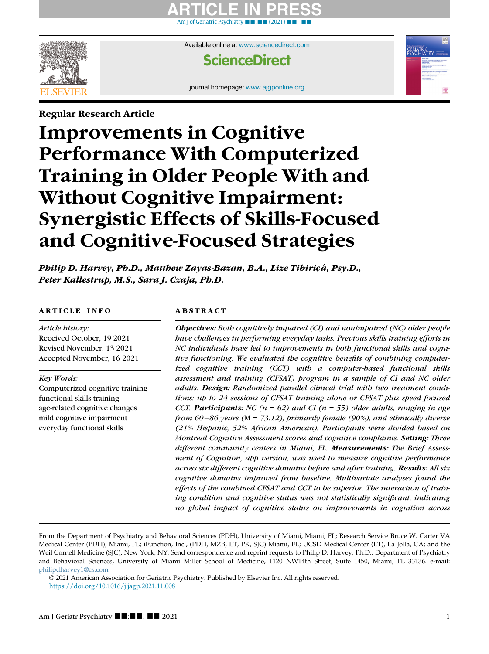# ARTICLE IN PRESS [Am J of Geriatric Psychiatry](https://doi.org/10.1016/j.jagp.2021.11.008) ■ ■[:](https://doi.org/10.1016/j.jagp.2021.11.008) ■ ■ [\(2021\)](https://doi.org/10.1016/j.jagp.2021.11.008) ■ ■[−](https://doi.org/10.1016/j.jagp.2021.11.008)■■



Available online at [www.sciencedirect.com](http://www.sciencedirect.com)

# **ScienceDirect**

journal homepage: [www.ajgponline.org](http://www.ajgponline.org)

# Regular Research Article Improvements in Cognitive Performance With Computerized Training in Older People With and Without Cognitive Impairment: Synergistic Effects of Skills-Focused and Cognitive-Focused Strategies

Philip D. Harvey, Ph.D., Matthew Zayas-Bazan, B.A., Lize Tibiriçá, Psy.D., Peter Kallestrup, M.S., Sara J. Czaja, Ph.D.

# ARTICLE INFO

Article history: Received October, 19 2021 Revised November, 13 2021 Accepted November, 16 2021

Key Words:

Computerized cognitive training functional skills training age-related cognitive changes mild cognitive impairment everyday functional skills

# ABSTRACT

Objectives: Both cognitively impaired (CI) and nonimpaired (NC) older people have challenges in performing everyday tasks. Previous skills training efforts in NC individuals have led to improvements in both functional skills and cognitive functioning. We evaluated the cognitive benefits of combining computerized cognitive training (CCT) with a computer-based functional skills assessment and training (CFSAT) program in a sample of CI and NC older adults. Design: Randomized parallel clinical trial with two treatment conditions: up to 24 sessions of CFSAT training alone or CFSAT plus speed focused CCT. Participants: NC ( $n = 62$ ) and CI ( $n = 55$ ) older adults, ranging in age from 60−86 years (M = 73.12), primarily female (90%), and ethnically diverse (21% Hispanic, 52% African American). Participants were divided based on Montreal Cognitive Assessment scores and cognitive complaints. Setting: Three different community centers in Miami, FL. Measurements: The Brief Assessment of Cognition, app version, was used to measure cognitive performance across six different cognitive domains before and after training. Results: All six cognitive domains improved from baseline. Multivariate analyses found the effects of the combined CFSAT and CCT to be superior. The interaction of training condition and cognitive status was not statistically significant, indicating no global impact of cognitive status on improvements in cognition across

From the Department of Psychiatry and Behavioral Sciences (PDH), University of Miami, Miami, FL; Research Service Bruce W. Carter VA Medical Center (PDH), Miami, FL; iFunction, Inc., (PDH, MZB, LT, PK, SJC) Miami, FL; UCSD Medical Center (LT), La Jolla, CA; and the Weil Cornell Medicine (SJC), New York, NY. Send correspondence and reprint requests to Philip D. Harvey, Ph.D., Department of Psychiatry and Behavioral Sciences, University of Miami Miller School of Medicine, 1120 NW14th Street, Suite 1450, Miami, FL 33136. e-mail: [philipdharvey1@cs.com](mailto:philipdharvey1@cs.com)

© 2021 American Association for Geriatric Psychiatry. Published by Elsevier Inc. All rights reserved. <https://doi.org/10.1016/j.jagp.2021.11.008>

**GERIATRIC<br>PSYCHIATRI**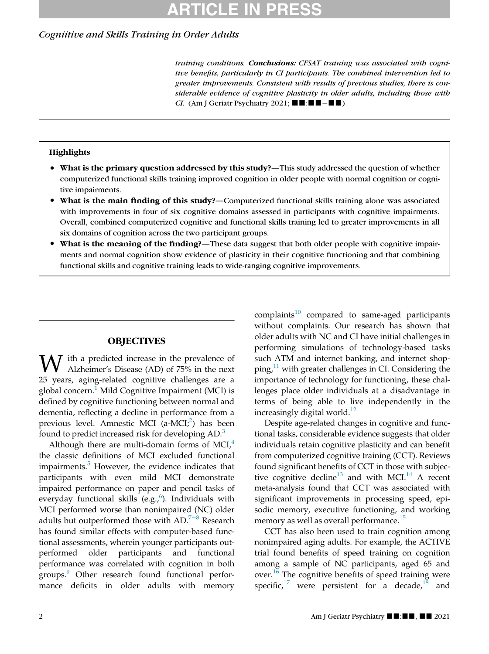# ARTICLE IN PRESS

## Cogniitive and Skills Training in Order Adults

training conditions. Conclusions: CFSAT training was associated with cognitive benefits, particularly in CI participants. The combined intervention led to greater improvements. Consistent with results of previous studies, there is considerable evidence of cognitive plasticity in older adults, including those with CI. (Am J Geriatr Psychiatry 2021;  $\blacksquare$   $\blacksquare$ :  $\blacksquare$   $\blacksquare$   $\blacksquare$ )

### **Highlights**

- What is the primary question addressed by this study?—This study addressed the question of whether computerized functional skills training improved cognition in older people with normal cognition or cognitive impairments.
- What is the main finding of this study?—Computerized functional skills training alone was associated with improvements in four of six cognitive domains assessed in participants with cognitive impairments. Overall, combined computerized cognitive and functional skills training led to greater improvements in all six domains of cognition across the two participant groups.
- What is the meaning of the finding?—These data suggest that both older people with cognitive impairments and normal cognition show evidence of plasticity in their cognitive functioning and that combining functional skills and cognitive training leads to wide-ranging cognitive improvements.

### **OBJECTIVES**

 $\overline{J}$  ith a predicted increase in the prevalence of Alzheimer's Disease (AD) of 75% in the next 25 years, aging-related cognitive challenges are a global concern.<sup>[1](#page-8-0)</sup> Mild Cognitive Impairment (MCI) is defined by cognitive functioning between normal and dementia, reflecting a decline in performance from a previous level. Amnestic MCI (a-MCI;<sup>[2](#page-8-1)</sup>) has been found to predict increased risk for developing AD.<sup>[3](#page-8-2)</sup>

Although there are multi-domain forms of MCI $<sup>4</sup>$  $<sup>4</sup>$  $<sup>4</sup>$ </sup> the classic definitions of MCI excluded functional impairments.<sup>[5](#page-8-4)</sup> However, the evidence indicates that participants with even mild MCI demonstrate impaired performance on paper and pencil tasks of everyday functional skills (e.g.,<sup>[6](#page-8-5)</sup>). Individuals with MCI performed worse than nonimpaired (NC) older adults but outperformed those with AD.<sup>7[−](#page-8-6)8</sup> Research has found similar effects with computer-based functional assessments, wherein younger participants outperformed older participants and functional performance was correlated with cognition in both groups.[9](#page-8-7) Other research found functional performance deficits in older adults with memory complaints $10$  compared to same-aged participants without complaints. Our research has shown that older adults with NC and CI have initial challenges in performing simulations of technology-based tasks such ATM and internet banking, and internet shopping, $^{11}$  $^{11}$  $^{11}$  with greater challenges in CI. Considering the importance of technology for functioning, these challenges place older individuals at a disadvantage in terms of being able to live independently in the increasingly digital world. $12$ 

Despite age-related changes in cognitive and functional tasks, considerable evidence suggests that older individuals retain cognitive plasticity and can benefit from computerized cognitive training (CCT). Reviews found significant benefits of CCT in those with subjec-tive cognitive decline<sup>[13](#page-8-11)</sup> and with MCI.<sup>[14](#page-8-12)</sup> A recent meta-analysis found that CCT was associated with significant improvements in processing speed, episodic memory, executive functioning, and working memory as well as overall performance.<sup>[15](#page-8-13)</sup>

CCT has also been used to train cognition among nonimpaired aging adults. For example, the ACTIVE trial found benefits of speed training on cognition among a sample of NC participants, aged 65 and over.[16](#page-8-14) The cognitive benefits of speed training were specific, $17$  were persistent for a decade, $18$  and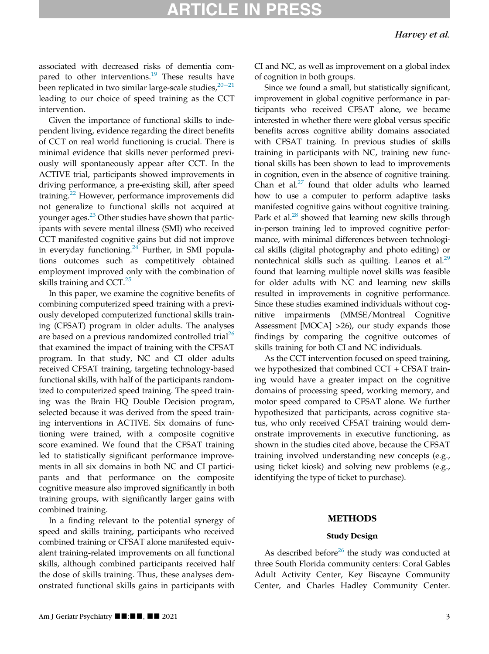# RTICLE IN PRE

associated with decreased risks of dementia compared to other interventions. $19$  These results have been replicated in two similar large-scale studies, $20-21$  $20-21$ leading to our choice of speed training as the CCT intervention.

Given the importance of functional skills to independent living, evidence regarding the direct benefits of CCT on real world functioning is crucial. There is minimal evidence that skills never performed previously will spontaneously appear after CCT. In the ACTIVE trial, participants showed improvements in driving performance, a pre-existing skill, after speed training.<sup>[22](#page-8-19)</sup> However, performance improvements did not generalize to functional skills not acquired at younger ages.<sup>[23](#page-8-20)</sup> Other studies have shown that participants with severe mental illness (SMI) who received CCT manifested cognitive gains but did not improve in everyday functioning. $24$  Further, in SMI populations outcomes such as competitively obtained employment improved only with the combination of skills training and  $CCT<sup>25</sup>$  $CCT<sup>25</sup>$  $CCT<sup>25</sup>$ 

In this paper, we examine the cognitive benefits of combining computerized speed training with a previously developed computerized functional skills training (CFSAT) program in older adults. The analyses are based on a previous randomized controlled trial<sup>[26](#page-8-23)</sup> that examined the impact of training with the CFSAT program. In that study, NC and CI older adults received CFSAT training, targeting technology-based functional skills, with half of the participants randomized to computerized speed training. The speed training was the Brain HQ Double Decision program, selected because it was derived from the speed training interventions in ACTIVE. Six domains of functioning were trained, with a composite cognitive score examined. We found that the CFSAT training led to statistically significant performance improvements in all six domains in both NC and CI participants and that performance on the composite cognitive measure also improved significantly in both training groups, with significantly larger gains with combined training.

In a finding relevant to the potential synergy of speed and skills training, participants who received combined training or CFSAT alone manifested equivalent training-related improvements on all functional skills, although combined participants received half the dose of skills training. Thus, these analyses demonstrated functional skills gains in participants with CI and NC, as well as improvement on a global index of cognition in both groups.

Since we found a small, but statistically significant, improvement in global cognitive performance in participants who received CFSAT alone, we became interested in whether there were global versus specific benefits across cognitive ability domains associated with CFSAT training. In previous studies of skills training in participants with NC, training new functional skills has been shown to lead to improvements in cognition, even in the absence of cognitive training. Chan et al. $27$  found that older adults who learned how to use a computer to perform adaptive tasks manifested cognitive gains without cognitive training. Park et al. $^{28}$  showed that learning new skills through in-person training led to improved cognitive performance, with minimal differences between technological skills (digital photography and photo editing) or nontechnical skills such as quilting. Leanos et al. $29$ found that learning multiple novel skills was feasible for older adults with NC and learning new skills resulted in improvements in cognitive performance. Since these studies examined individuals without cognitive impairments (MMSE/Montreal Cognitive Assessment [MOCA] >26), our study expands those findings by comparing the cognitive outcomes of skills training for both CI and NC individuals.

As the CCT intervention focused on speed training, we hypothesized that combined CCT + CFSAT training would have a greater impact on the cognitive domains of processing speed, working memory, and motor speed compared to CFSAT alone. We further hypothesized that participants, across cognitive status, who only received CFSAT training would demonstrate improvements in executive functioning, as shown in the studies cited above, because the CFSAT training involved understanding new concepts (e.g., using ticket kiosk) and solving new problems (e.g., identifying the type of ticket to purchase).

#### METHODS

### Study Design

As described before<sup>[26](#page-8-23)</sup> the study was conducted at three South Florida community centers: Coral Gables Adult Activity Center, Key Biscayne Community Center, and Charles Hadley Community Center.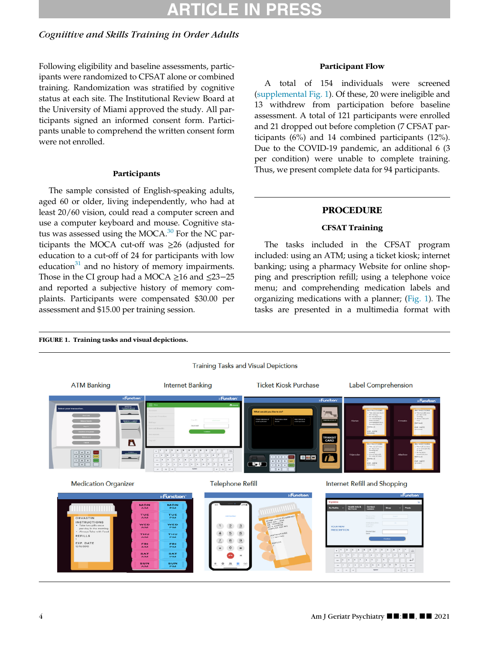# ARTICLE IN PRESS

# Cogniitive and Skills Training in Order Adults

Following eligibility and baseline assessments, participants were randomized to CFSAT alone or combined training. Randomization was stratified by cognitive status at each site. The Institutional Review Board at the University of Miami approved the study. All participants signed an informed consent form. Participants unable to comprehend the written consent form were not enrolled.

#### Participants

The sample consisted of English-speaking adults, aged 60 or older, living independently, who had at least 20/60 vision, could read a computer screen and use a computer keyboard and mouse. Cognitive status was assessed using the MOCA. $30$  For the NC participants the MOCA cut-off was ≥26 (adjusted for education to a cut-off of 24 for participants with low education $31$  and no history of memory impairments. Those in the CI group had a MOCA ≥16 and ≤23−25 and reported a subjective history of memory complaints. Participants were compensated \$30.00 per assessment and \$15.00 per training session.

THU<sub>AM</sub>

ERI<br>AM

**SAT** 

SUN

THU

EN.

**BAT** 

SUN

<span id="page-3-0"></span>FIGURE 1. Training tasks and visual depictions.

### Participant Flow

A total of 154 individuals were screened ([supplemental Fig. 1\)](#page-6-0). Of these, 20 were ineligible and 13 withdrew from participation before baseline assessment. A total of 121 participants were enrolled and 21 dropped out before completion (7 CFSAT participants (6%) and 14 combined participants (12%). Due to the COVID-19 pandemic, an additional 6 (3 per condition) were unable to complete training. Thus, we present complete data for 94 participants.

### PROCEDURE

## CFSAT Training

The tasks included in the CFSAT program included: using an ATM; using a ticket kiosk; internet banking; using a pharmacy Website for online shopping and prescription refill; using a telephone voice menu; and comprehending medication labels and organizing medications with a planner; ([Fig. 1\)](#page-3-0). The tasks are presented in a multimedia format with



 $\frac{4}{6}$  5 6

 $\frac{8}{11}$   $\frac{9}{11}$  $\overline{z}$ 

 $\ddot{\theta}$  =



EFILLS

EXP. DATI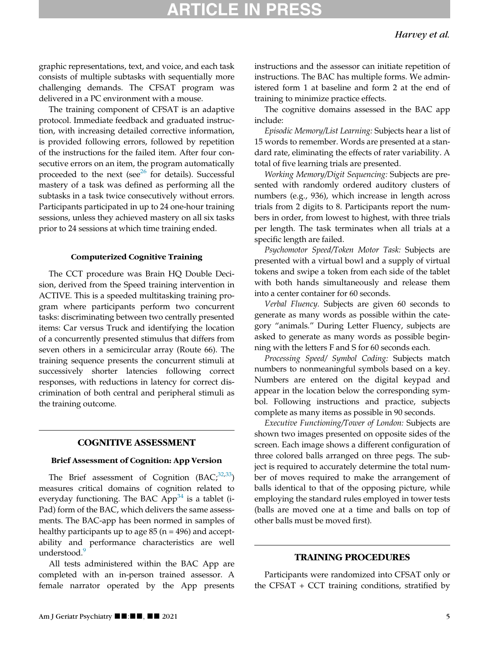# RTICLE IN PR

graphic representations, text, and voice, and each task consists of multiple subtasks with sequentially more challenging demands. The CFSAT program was delivered in a PC environment with a mouse.

The training component of CFSAT is an adaptive protocol. Immediate feedback and graduated instruction, with increasing detailed corrective information, is provided following errors, followed by repetition of the instructions for the failed item. After four consecutive errors on an item, the program automatically proceeded to the next (see $26$  for details). Successful mastery of a task was defined as performing all the subtasks in a task twice consecutively without errors. Participants participated in up to 24 one-hour training sessions, unless they achieved mastery on all six tasks prior to 24 sessions at which time training ended.

#### Computerized Cognitive Training

The CCT procedure was Brain HQ Double Decision, derived from the Speed training intervention in ACTIVE. This is a speeded multitasking training program where participants perform two concurrent tasks: discriminating between two centrally presented items: Car versus Truck and identifying the location of a concurrently presented stimulus that differs from seven others in a semicircular array (Route 66). The training sequence presents the concurrent stimuli at successively shorter latencies following correct responses, with reductions in latency for correct discrimination of both central and peripheral stimuli as the training outcome.

## COGNITIVE ASSESSMENT

#### Brief Assessment of Cognition: App Version

The Brief assessment of Cognition  $(BAC, \frac{32,33}{5})$  $(BAC, \frac{32,33}{5})$  $(BAC, \frac{32,33}{5})$  $(BAC, \frac{32,33}{5})$ measures critical domains of cognition related to everyday functioning. The BAC  $App<sup>34</sup>$  $App<sup>34</sup>$  $App<sup>34</sup>$  is a tablet (i-Pad) form of the BAC, which delivers the same assessments. The BAC-app has been normed in samples of healthy participants up to age  $85$  (n = 496) and acceptability and performance characteristics are well understood.<sup>[9](#page-8-7)</sup>

All tests administered within the BAC App are completed with an in-person trained assessor. A female narrator operated by the App presents instructions and the assessor can initiate repetition of instructions. The BAC has multiple forms. We administered form 1 at baseline and form 2 at the end of training to minimize practice effects.

The cognitive domains assessed in the BAC app include:

Episodic Memory/List Learning: Subjects hear a list of 15 words to remember. Words are presented at a standard rate, eliminating the effects of rater variability. A total of five learning trials are presented.

Working Memory/Digit Sequencing: Subjects are presented with randomly ordered auditory clusters of numbers (e.g., 936), which increase in length across trials from 2 digits to 8. Participants report the numbers in order, from lowest to highest, with three trials per length. The task terminates when all trials at a specific length are failed.

Psychomotor Speed/Token Motor Task: Subjects are presented with a virtual bowl and a supply of virtual tokens and swipe a token from each side of the tablet with both hands simultaneously and release them into a center container for 60 seconds.

Verbal Fluency. Subjects are given 60 seconds to generate as many words as possible within the category "animals." During Letter Fluency, subjects are asked to generate as many words as possible beginning with the letters F and S for 60 seconds each.

Processing Speed/ Symbol Coding: Subjects match numbers to nonmeaningful symbols based on a key. Numbers are entered on the digital keypad and appear in the location below the corresponding symbol. Following instructions and practice, subjects complete as many items as possible in 90 seconds.

Executive Functioning/Tower of London: Subjects are shown two images presented on opposite sides of the screen. Each image shows a different configuration of three colored balls arranged on three pegs. The subject is required to accurately determine the total number of moves required to make the arrangement of balls identical to that of the opposing picture, while employing the standard rules employed in tower tests (balls are moved one at a time and balls on top of other balls must be moved first).

#### TRAINING PROCEDURES

Participants were randomized into CFSAT only or the CFSAT + CCT training conditions, stratified by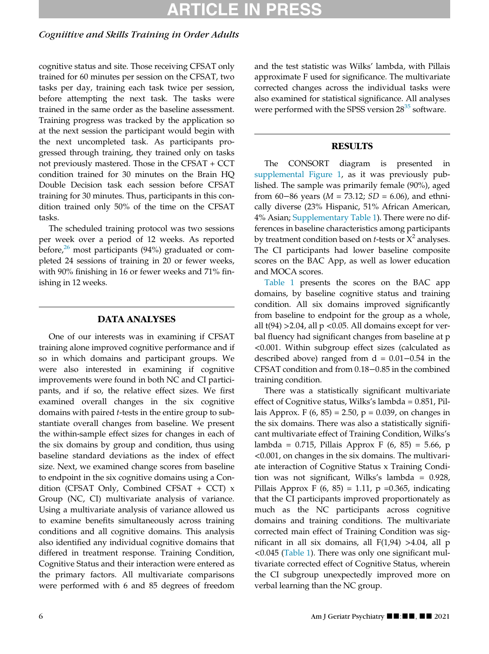# ARTICLE IN PRE

# Cogniitive and Skills Training in Order Adults

cognitive status and site. Those receiving CFSAT only trained for 60 minutes per session on the CFSAT, two tasks per day, training each task twice per session, before attempting the next task. The tasks were trained in the same order as the baseline assessment. Training progress was tracked by the application so at the next session the participant would begin with the next uncompleted task. As participants progressed through training, they trained only on tasks not previously mastered. Those in the CFSAT + CCT condition trained for 30 minutes on the Brain HQ Double Decision task each session before CFSAT training for 30 minutes. Thus, participants in this condition trained only 50% of the time on the CFSAT tasks.

The scheduled training protocol was two sessions per week over a period of 12 weeks. As reported before, $26$  most participants (94%) graduated or completed 24 sessions of training in 20 or fewer weeks, with 90% finishing in 16 or fewer weeks and 71% finishing in 12 weeks.

# DATA ANALYSES

One of our interests was in examining if CFSAT training alone improved cognitive performance and if so in which domains and participant groups. We were also interested in examining if cognitive improvements were found in both NC and CI participants, and if so, the relative effect sizes. We first examined overall changes in the six cognitive domains with paired t-tests in the entire group to substantiate overall changes from baseline. We present the within-sample effect sizes for changes in each of the six domains by group and condition, thus using baseline standard deviations as the index of effect size. Next, we examined change scores from baseline to endpoint in the six cognitive domains using a Condition (CFSAT Only, Combined CFSAT + CCT)  $x$ Group (NC, CI) multivariate analysis of variance. Using a multivariate analysis of variance allowed us to examine benefits simultaneously across training conditions and all cognitive domains. This analysis also identified any individual cognitive domains that differed in treatment response. Training Condition, Cognitive Status and their interaction were entered as the primary factors. All multivariate comparisons were performed with 6 and 85 degrees of freedom and the test statistic was Wilks' lambda, with Pillais approximate F used for significance. The multivariate corrected changes across the individual tasks were also examined for statistical significance. All analyses were performed with the SPSS version  $28^{35}$  $28^{35}$  $28^{35}$  software.

## **RESULTS**

The CONSORT diagram is presented in [supplemental Figure 1](#page-6-0), as it was previously published. The sample was primarily female (90%), aged from 60–86 years ( $M = 73.12$ ;  $SD = 6.06$ ), and ethnically diverse (23% Hispanic, 51% African American, 4% Asian; [Supplementary Table 1\)](#page-6-0). There were no differences in baseline characteristics among participants by treatment condition based on *t*-tests or  $X^2$  analyses. The CI participants had lower baseline composite scores on the BAC App, as well as lower education and MOCA scores.

[Table 1](#page-6-0) presents the scores on the BAC app domains, by baseline cognitive status and training condition. All six domains improved significantly from baseline to endpoint for the group as a whole, all  $t(94) > 2.04$ , all p < 0.05. All domains except for verbal fluency had significant changes from baseline at p <0.001. Within subgroup effect sizes (calculated as described above) ranged from d = 0.01−0.54 in the CFSAT condition and from 0.18−0.85 in the combined training condition.

There was a statistically significant multivariate effect of Cognitive status, Wilks's lambda = 0.851, Pillais Approx. F  $(6, 85) = 2.50$ ,  $p = 0.039$ , on changes in the six domains. There was also a statistically significant multivariate effect of Training Condition, Wilks's lambda = 0.715, Pillais Approx F (6, 85) = 5.66, p <0.001, on changes in the six domains. The multivariate interaction of Cognitive Status x Training Condition was not significant, Wilks's lambda = 0.928, Pillais Approx F (6, 85) = 1.11, p = 0.365, indicating that the CI participants improved proportionately as much as the NC participants across cognitive domains and training conditions. The multivariate corrected main effect of Training Condition was significant in all six domains, all F(1,94) >4.04, all p <0.045 ([Table 1\)](#page-6-0). There was only one significant multivariate corrected effect of Cognitive Status, wherein the CI subgroup unexpectedly improved more on verbal learning than the NC group.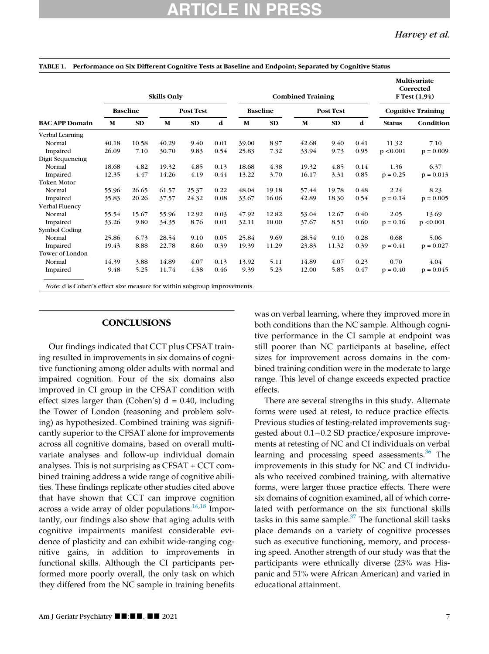| <b>BAC APP Domain</b>  | <b>Skills Only</b> |       |                  |           |      | <b>Combined Training</b> |       |                  |           |      | Multivariate<br>Corrected<br><b>F</b> Test $(1,94)$ |             |
|------------------------|--------------------|-------|------------------|-----------|------|--------------------------|-------|------------------|-----------|------|-----------------------------------------------------|-------------|
|                        | <b>Baseline</b>    |       | <b>Post Test</b> |           |      | <b>Baseline</b>          |       | <b>Post Test</b> |           |      | <b>Cognitive Training</b>                           |             |
|                        | M                  | SD    | M                | <b>SD</b> | d    | M                        | SD    | M                | <b>SD</b> | d    | <b>Status</b>                                       | Condition   |
| Verbal Learning        |                    |       |                  |           |      |                          |       |                  |           |      |                                                     |             |
| Normal                 | 40.18              | 10.58 | 40.29            | 9.40      | 0.01 | 39.00                    | 8.97  | 42.68            | 9.40      | 0.41 | 11.32                                               | 7.10        |
| Impaired               | 26.09              | 7.10  | 30.70            | 9.83      | 0.54 | 25.83                    | 7.32  | 33.94            | 9.73      | 0.95 | p < 0.001                                           | $p = 0.009$ |
| Digit Sequencing       |                    |       |                  |           |      |                          |       |                  |           |      |                                                     |             |
| Normal                 | 18.68              | 4.82  | 19.32            | 4.85      | 0.13 | 18.68                    | 4.38  | 19.32            | 4.85      | 0.14 | 1.36                                                | 6.37        |
| Impaired               | 12.35              | 4.47  | 14.26            | 4.19      | 0.44 | 13.22                    | 3.70  | 16.17            | 3.31      | 0.85 | $p = 0.25$                                          | $p = 0.013$ |
| <b>Token Motor</b>     |                    |       |                  |           |      |                          |       |                  |           |      |                                                     |             |
| Normal                 | 55.96              | 26.65 | 61.57            | 25.37     | 0.22 | 48.04                    | 19.18 | 57.44            | 19.78     | 0.48 | 2.24                                                | 8.23        |
| Impaired               | 35.83              | 20.26 | 37.57            | 24.32     | 0.08 | 33.67                    | 16.06 | 42.89            | 18.30     | 0.54 | $p = 0.14$                                          | $p = 0.005$ |
| Verbal Fluency         |                    |       |                  |           |      |                          |       |                  |           |      |                                                     |             |
| Normal                 | 55.54              | 15.67 | 55.96            | 12.92     | 0.03 | 47.92                    | 12.82 | 53.04            | 12.67     | 0.40 | 2.05                                                | 13.69       |
| Impaired               | 33.26              | 9.80  | 34.35            | 8.76      | 0.01 | 32.11                    | 10.00 | 37.67            | 8.51      | 0.60 | $p = 0.16$                                          | p < 0.001   |
| Symbol Coding          |                    |       |                  |           |      |                          |       |                  |           |      |                                                     |             |
| Normal                 | 25.86              | 6.73  | 28.54            | 9.10      | 0.05 | 25.84                    | 9.69  | 28.54            | 9.10      | 0.28 | 0.68                                                | 5.06        |
| Impaired               | 19.43              | 8.88  | 22.78            | 8.60      | 0.39 | 19.39                    | 11.29 | 23.83            | 11.32     | 0.39 | $p = 0.41$                                          | $p = 0.027$ |
| <b>Tower of London</b> |                    |       |                  |           |      |                          |       |                  |           |      |                                                     |             |
| Normal                 | 14.39              | 3.88  | 14.89            | 4.07      | 0.13 | 13.92                    | 5.11  | 14.89            | 4.07      | 0.23 | 0.70                                                | 4.04        |
| Impaired               | 9.48               | 5.25  | 11.74            | 4.38      | 0.46 | 9.39                     | 5.23  | 12.00            | 5.85      | 0.47 | $p = 0.40$                                          | $p = 0.045$ |

#### <span id="page-6-0"></span>TABLE 1. Performance on Six Different Cognitive Tests at Baseline and Endpoint; Separated by Cognitive Status

#### **CONCLUSIONS**

Our findings indicated that CCT plus CFSAT training resulted in improvements in six domains of cognitive functioning among older adults with normal and impaired cognition. Four of the six domains also improved in CI group in the CFSAT condition with effect sizes larger than (Cohen's)  $d = 0.40$ , including the Tower of London (reasoning and problem solving) as hypothesized. Combined training was significantly superior to the CFSAT alone for improvements across all cognitive domains, based on overall multivariate analyses and follow-up individual domain analyses. This is not surprising as CFSAT + CCT combined training address a wide range of cognitive abilities. These findings replicate other studies cited above that have shown that CCT can improve cognition across a wide array of older populations. $16,18$  $16,18$  Importantly, our findings also show that aging adults with cognitive impairments manifest considerable evidence of plasticity and can exhibit wide-ranging cognitive gains, in addition to improvements in functional skills. Although the CI participants performed more poorly overall, the only task on which they differed from the NC sample in training benefits was on verbal learning, where they improved more in both conditions than the NC sample. Although cognitive performance in the CI sample at endpoint was still poorer than NC participants at baseline, effect sizes for improvement across domains in the combined training condition were in the moderate to large range. This level of change exceeds expected practice effects.

There are several strengths in this study. Alternate forms were used at retest, to reduce practice effects. Previous studies of testing-related improvements suggested about 0.1−0.2 SD practice/exposure improvements at retesting of NC and CI individuals on verbal learning and processing speed assessments.<sup>[36](#page-9-7)</sup> The improvements in this study for NC and CI individuals who received combined training, with alternative forms, were larger those practice effects. There were six domains of cognition examined, all of which correlated with performance on the six functional skills tasks in this same sample. $37$  The functional skill tasks place demands on a variety of cognitive processes such as executive functioning, memory, and processing speed. Another strength of our study was that the participants were ethnically diverse (23% was Hispanic and 51% were African American) and varied in educational attainment.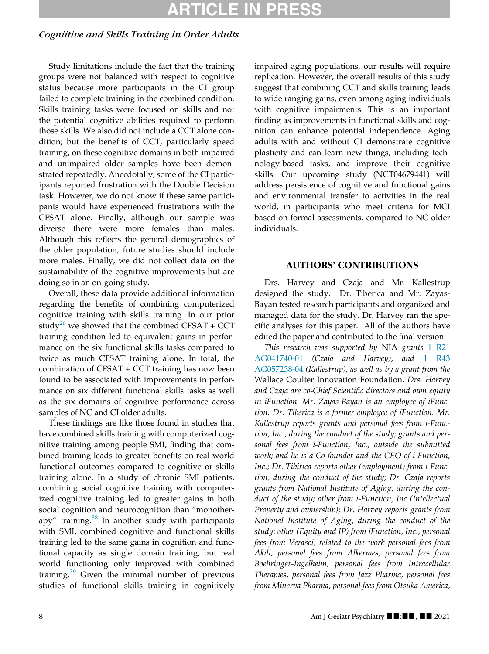# ARTICLE IN PRES

# Cogniitive and Skills Training in Order Adults

Study limitations include the fact that the training groups were not balanced with respect to cognitive status because more participants in the CI group failed to complete training in the combined condition. Skills training tasks were focused on skills and not the potential cognitive abilities required to perform those skills. We also did not include a CCT alone condition; but the benefits of CCT, particularly speed training, on these cognitive domains in both impaired and unimpaired older samples have been demonstrated repeatedly. Anecdotally, some of the CI participants reported frustration with the Double Decision task. However, we do not know if these same participants would have experienced frustrations with the CFSAT alone. Finally, although our sample was diverse there were more females than males. Although this reflects the general demographics of the older population, future studies should include more males. Finally, we did not collect data on the sustainability of the cognitive improvements but are doing so in an on-going study.

<span id="page-7-0"></span>Overall, these data provide additional information regarding the benefits of combining computerized cognitive training with skills training. In our prior study<sup>26</sup> we showed that the combined CFSAT + CCT training condition led to equivalent gains in performance on the six functional skills tasks compared to twice as much CFSAT training alone. In total, the combination of CFSAT + CCT training has now been found to be associated with improvements in performance on six different functional skills tasks as well as the six domains of cognitive performance across samples of NC and CI older adults.

These findings are like those found in studies that have combined skills training with computerized cognitive training among people SMI, finding that combined training leads to greater benefits on real-world functional outcomes compared to cognitive or skills training alone. In a study of chronic SMI patients, combining social cognitive training with computerized cognitive training led to greater gains in both social cognition and neurocognition than "monotherapy" training. $38$  In another study with participants with SMI, combined cognitive and functional skills training led to the same gains in cognition and functional capacity as single domain training, but real world functioning only improved with combined training.[39](#page-9-10) Given the minimal number of previous studies of functional skills training in cognitively impaired aging populations, our results will require replication. However, the overall results of this study suggest that combining CCT and skills training leads to wide ranging gains, even among aging individuals with cognitive impairments. This is an important finding as improvements in functional skills and cognition can enhance potential independence. Aging adults with and without CI demonstrate cognitive plasticity and can learn new things, including technology-based tasks, and improve their cognitive skills. Our upcoming study (NCT04679441) will address persistence of cognitive and functional gains and environmental transfer to activities in the real world, in participants who meet criteria for MCI based on formal assessments, compared to NC older individuals.

## AUTHORS' CONTRIBUTIONS

Drs. Harvey and Czaja and Mr. Kallestrup designed the study. Dr. Tiberica and Mr. Zayas-Bayan tested research participants and organized and managed data for the study. Dr. Harvey ran the specific analyses for this paper. All of the authors have edited the paper and contributed to the final version.

This research was supported by NIA grants [1 R21](#page-7-0) [AG041740-01](#page-7-0) (Czaja and Harvey), and [1 R43](#page-7-0) [AG057238-04](#page-7-0) (Kallestrup), as well as by a grant from the Wallace Coulter Innovation Foundation. Drs. Harvey and Czaja are co-Chief Scientific directors and own equity in iFunction. Mr. Zayas-Bayan is an employee of iFunction. Dr. Tiberica is a former employee of iFunction. Mr. Kallestrup reports grants and personal fees from i-Function, Inc., during the conduct of the study; grants and personal fees from i-Function, Inc., outside the submitted work; and he is a Co-founder and the CEO of i-Function, Inc.; Dr. Tibirica reports other (employment) from i-Function, during the conduct of the study; Dr. Czaja reports grants from National Institute of Aging, during the conduct of the study; other from i-Function, Inc (Intellectual Property and ownership); Dr. Harvey reports grants from National Institute of Aging, during the conduct of the study; other (Equity and IP) from iFunction, Inc., personal fees from Verasci, related to the work personal fees from Akili, personal fees from Alkermes, personal fees from Boehringer-Ingelheim, personal fees from Intracellular Therapies, personal fees from Jazz Pharma, personal fees from Minerva Pharma, personal fees from Otsuka America,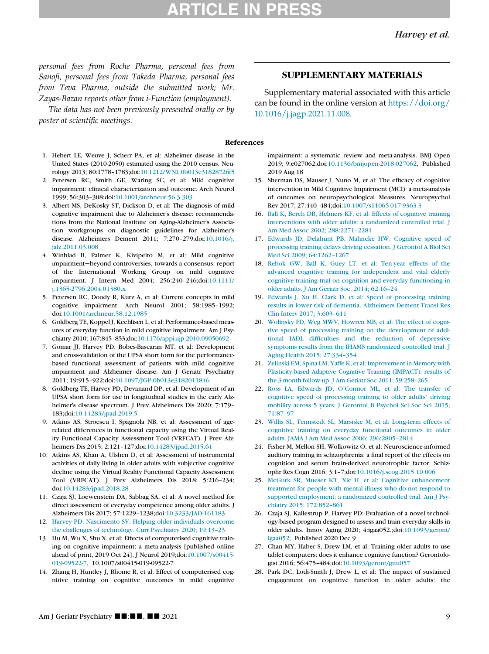# TICLE IN PR

### Harvey et al.

personal fees from Roche Pharma, personal fees from Sanofi, personal fees from Takeda Pharma, personal fees from Teva Pharma, outside the submitted work; Mr. Zayas-Bazan reports other from i-Function (employment).

The data has not been previously presented orally or by poster at scientific meetings.

#### <span id="page-8-0"></span>1. Hebert LE, Weuve J, Scherr PA, et al: Alzheimer disease in the United States (2010-2050) estimated using the 2010 census. Neurology 2013; 80:1778–1783;doi[:10.1212/WNL.0b013e31828726f5](https://doi.org/10.1212/WNL.0b013e31828726f5)

- <span id="page-8-13"></span><span id="page-8-1"></span>2. Petersen RC, Smith GE, Waring SC, et al: Mild cognitive impairment: clinical characterization and outcome. Arch Neurol 1999; 56:303–308;doi:[10.1001/archneur.56.3.303](https://doi.org/10.1001/archneur.56.3.303)
- <span id="page-8-14"></span><span id="page-8-2"></span>3. Albert MS, DeKosky ST, Dickson D, et al: The diagnosis of mild cognitive impairment due to Alzheimer's disease: recommendations from the National Institute on Aging-Alzheimer's Association workgroups on diagnostic guidelines for Alzheimer's disease. Alzheimers Dement 2011; 7:270–279;doi:[10.1016/j.](https://doi.org/10.1016/j.jalz.2011.03.008) [jalz.2011.03.008](https://doi.org/10.1016/j.jalz.2011.03.008)
- <span id="page-8-16"></span><span id="page-8-15"></span><span id="page-8-3"></span>4. Winblad B, Palmer K, Kivipelto M, et al: Mild cognitive impairment−beyond controversies, towards a consensus: report of the International Working Group on mild cognitive impairment. J Intern Med 2004; 256:240–246;doi[:10.1111/](https://doi.org/10.1111/j.1365-2796.2004.01380.x) [j.1365-2796.2004.01380.x](https://doi.org/10.1111/j.1365-2796.2004.01380.x)
- <span id="page-8-17"></span><span id="page-8-4"></span>5. Petersen RC, Doody R, Kurz A, et al: Current concepts in mild cognitive impairment. Arch Neurol 2001; 58:1985–1992; doi[:10.1001/archneur.58.12.1985](https://doi.org/10.1001/archneur.58.12.1985)
- <span id="page-8-18"></span><span id="page-8-5"></span>6. Goldberg TE, Koppel J, Keehlisen L, et al: Performance-based measures of everyday function in mild cognitive impairment. Am J Psychiatry 2010; 167:845–853;doi[:10.1176/appi.ajp.2010.09050692](https://doi.org/10.1176/appi.ajp.2010.09050692)
- <span id="page-8-6"></span>7. Gomar JJ, Harvey PD, Bobes-Bascaran MT, et al: Development and cross-validation of the UPSA short form for the performancebased functional assessment of patients with mild cognitive impairment and Alzheimer disease. Am J Geriatr Psychiatry 2011; 19:915–922;doi:[10.1097/JGP.0b013e3182011846](https://doi.org/10.1097/JGP.0b013e3182011846)
- <span id="page-8-19"></span>8. Goldberg TE, Harvey PD, Devanand DP, et al: Development of an UPSA short form for use in longitudinal studies in the early Alzheimer's disease spectrum. J Prev Alzheimers Dis 2020; 7:179– 183;doi:[10.14283/jpad.2019.5](https://doi.org/10.14283/jpad.2019.5)
- <span id="page-8-20"></span><span id="page-8-7"></span>9. Atkins AS, Stroescu I, Spagnola NB, et al: Assessment of agerelated differences in functional capacity using the Virtual Reality Functional Capacity Assessment Tool (VRFCAT). J Prev Alzheimers Dis 2015; 2:121–127;doi[:10.14283/jpad.2015.61](https://doi.org/10.14283/jpad.2015.61)
- <span id="page-8-21"></span><span id="page-8-8"></span>10. Atkins AS, Khan A, Ulshen D, et al: Assessment of instrumental activities of daily living in older adults with subjective cognitive decline using the Virtual Reality Functional Capacity Assessment Tool (VRFCAT). J Prev Alzheimers Dis 2018; 5:216–234; doi[:10.14283/jpad.2018.28](https://doi.org/10.14283/jpad.2018.28)
- <span id="page-8-22"></span><span id="page-8-9"></span>11. Czaja SJ, Loewenstein DA, Sabbag SA, et al: A novel method for direct assessment of everyday competence among older adults. J Alzheimers Dis 2017; 57:1229–1238;doi:[10.3233/JAD-161183](https://doi.org/10.3233/JAD-161183)
- <span id="page-8-23"></span><span id="page-8-10"></span>12. [Harvey PD, Nascimento SV: Helping older individuals overcome](http://refhub.elsevier.com/S1064-7481(21)00547-9/sbref0012) [the challenges of technology. Curr Psychiatry 2020; 19:13–23](http://refhub.elsevier.com/S1064-7481(21)00547-9/sbref0012)
- <span id="page-8-24"></span><span id="page-8-11"></span>13. Hu M, Wu X, Shu X, et al: Effects of computerised cognitive training on cognitive impairment: a meta-analysis [published online ahead of print, 2019 Oct 24]. J Neurol 2019;doi[:10.1007/s00415-](https://doi.org/10.1007/s00415-019-09522-7) [019-09522-7,](https://doi.org/10.1007/s00415-019-09522-7) 10.1007/s00415-019-09522-7
- <span id="page-8-25"></span><span id="page-8-12"></span>14. Zhang H, Huntley J, Bhome R, et al: Effect of computerised cognitive training on cognitive outcomes in mild cognitive

## SUPPLEMENTARY MATERIALS

Supplementary material associated with this article can be found in the online version at [https://doi.org/](https://doi.org/10.1016/j.jagp.2021.11.008) [10.1016/j.jagp.2021.11.008.](https://doi.org/10.1016/j.jagp.2021.11.008)

#### References

impairment: a systematic review and meta-analysis. BMJ Open 2019; 9:e027062;doi[:10.1136/bmjopen-2018-027062,](https://doi.org/10.1136/bmjopen-2018-027062) Published 2019 Aug 18

- 15. Sherman DS, Mauser J, Nuno M, et al: The efficacy of cognitive intervention in Mild Cognitive Impairment (MCI): a meta-analysis of outcomes on neuropsychological Measures. Neuropsychol Rev 2017; 27:440–484;doi:[10.1007/s11065-017-9363-3](https://doi.org/10.1007/s11065-017-9363-3)
- 16. [Ball K, Berch DB, Helmers KF, et al: Effects of cognitive training](http://refhub.elsevier.com/S1064-7481(21)00547-9/sbref0016) [interventions with older adults: a randomized controlled trial. J](http://refhub.elsevier.com/S1064-7481(21)00547-9/sbref0016) [Am Med Assoc 2002; 288:2271–2281](http://refhub.elsevier.com/S1064-7481(21)00547-9/sbref0016)
- 17. [Edwards JD, Delahunt PB, Mahncke HW: Cognitive speed of](http://refhub.elsevier.com/S1064-7481(21)00547-9/sbref0017) [processing training delays driving cessation. J Gerontol A Biol Sci](http://refhub.elsevier.com/S1064-7481(21)00547-9/sbref0017) [Med Sci 2009; 64:1262–1267](http://refhub.elsevier.com/S1064-7481(21)00547-9/sbref0017)
- 18. [Rebok GW, Ball K, Guey LT, et al: Ten-year effects of the](http://refhub.elsevier.com/S1064-7481(21)00547-9/sbref0018) [advanced cognitive training for independent and vital elderly](http://refhub.elsevier.com/S1064-7481(21)00547-9/sbref0018) [cognitive training trial on cognition and everyday functioning in](http://refhub.elsevier.com/S1064-7481(21)00547-9/sbref0018) [older adults. J Am Geriatr Soc. 2014; 62:16–24](http://refhub.elsevier.com/S1064-7481(21)00547-9/sbref0018)
- 19. [Edwards J, Xu H, Clark D, et al: Speed of processing training](http://refhub.elsevier.com/S1064-7481(21)00547-9/sbref0019) [results in lower risk of dementia. Alzheimers Dement Transl Res](http://refhub.elsevier.com/S1064-7481(21)00547-9/sbref0019) [Clin Interv 2017; 3:603–611](http://refhub.elsevier.com/S1064-7481(21)00547-9/sbref0019)
- 20. [Wolinsky FD, Weg MWV, Howren MB, et al: The effect of cogni](http://refhub.elsevier.com/S1064-7481(21)00547-9/sbref0020)[tive speed of processing training on the development of addi](http://refhub.elsevier.com/S1064-7481(21)00547-9/sbref0020)[tional IADL difficulties and the reduction of depressive](http://refhub.elsevier.com/S1064-7481(21)00547-9/sbref0020) [symptoms results from the IHAMS randomized controlled trial. J](http://refhub.elsevier.com/S1064-7481(21)00547-9/sbref0020) [Aging Health 2015; 27:334–354](http://refhub.elsevier.com/S1064-7481(21)00547-9/sbref0020)
- 21. [Zelinski EM, Spina LM, Yaffe K, et al: Improvement in Memory with](http://refhub.elsevier.com/S1064-7481(21)00547-9/sbref0021) [Plasticity-based Adaptive Cognitive Training \(IMPACT\): results of](http://refhub.elsevier.com/S1064-7481(21)00547-9/sbref0021) [the 3-month follow-up. J Am Geriatr Soc 2011; 59:258–265](http://refhub.elsevier.com/S1064-7481(21)00547-9/sbref0021)
- 22. [Ross LA, Edwards JD, O'Connor ML, et al: The transfer of](http://refhub.elsevier.com/S1064-7481(21)00547-9/sbref0022) [cognitive speed of processing training to older adults' driving](http://refhub.elsevier.com/S1064-7481(21)00547-9/sbref0022) [mobility across 5 years. J Gerontol B Psychol Sci Soc Sci 2015;](http://refhub.elsevier.com/S1064-7481(21)00547-9/sbref0022) [71:87–97](http://refhub.elsevier.com/S1064-7481(21)00547-9/sbref0022)
- 23. [Willis SL, Tennstedt SL, Marsiske M, et al: Long-term effects of](http://refhub.elsevier.com/S1064-7481(21)00547-9/sbref0023) [cognitive training on everyday functional outcomes in older](http://refhub.elsevier.com/S1064-7481(21)00547-9/sbref0023) [adults. JAMA J Am Med Assoc 2006; 296:2805–2814](http://refhub.elsevier.com/S1064-7481(21)00547-9/sbref0023)
- 24. Fisher M, Mellon SH, Wolkowitz O, et al: Neuroscience-informed auditory training in schizophrenia: a final report of the effects on cognition and serum brain-derived neurotrophic factor. Schizophr Res Cogn 2016; 3:1–7;doi:[10.1016/j.scog.2015.10.006](https://doi.org/10.1016/j.scog.2015.10.006)
- 25. [McGurk SR, Mueser KT, Xie H, et al: Cognitive enhancement](http://refhub.elsevier.com/S1064-7481(21)00547-9/sbref0025) [treatment for people with mental illness who do not respond to](http://refhub.elsevier.com/S1064-7481(21)00547-9/sbref0025) [supported employment: a randomized controlled trial. Am J Psy](http://refhub.elsevier.com/S1064-7481(21)00547-9/sbref0025)[chiatry 2015; 172:852–861](http://refhub.elsevier.com/S1064-7481(21)00547-9/sbref0025)
- 26. Czaja SJ, Kallestrup P, Harvey PD: Evaluation of a novel technology-based program designed to assess and train everyday skills in older adults. Innov Aging 2020; 4:igaa052.;doi[:10.1093/geroni/](https://doi.org/10.1093/geroni/igaa052) [igaa052](https://doi.org/10.1093/geroni/igaa052), Published 2020 Dec 9
- 27. Chan MY, Haber S, Drew LM, et al: Training older adults to use tablet computers: does it enhance cognitive function? Gerontologist 2016; 56:475–484;doi:[10.1093/geront/gnu057](https://doi.org/10.1093/geront/gnu057)
- 28. Park DC, Lodi-Smith J, Drew L, et al: The impact of sustained engagement on cognitive function in older adults: the